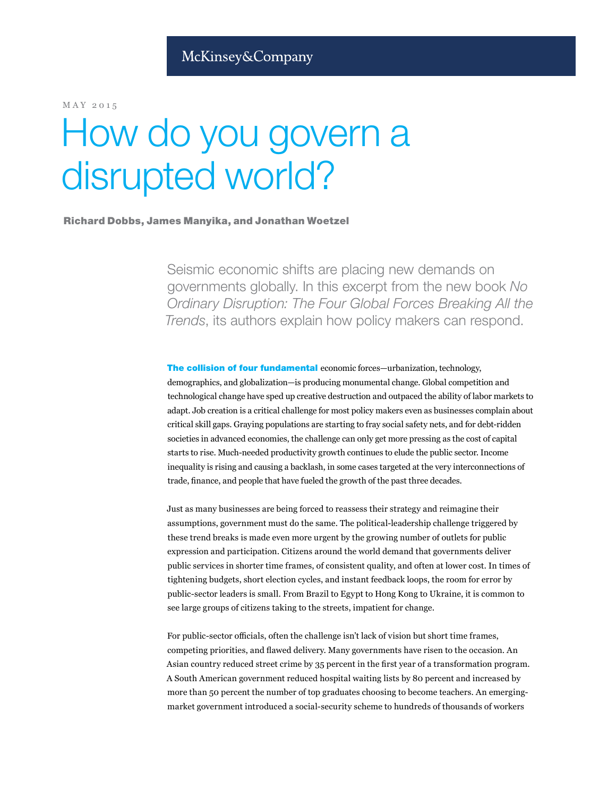MAY 2015

# How do you govern a disrupted world?

## Richard Dobbs, James Manyika, and Jonathan Woetzel

Seismic economic shifts are placing new demands on governments globally. In this excerpt from the new book *No Ordinary Disruption: The Four Global Forces Breaking All the Trends*, its authors explain how policy makers can respond.

The collision of four fundamental economic forces—urbanization, technology, demographics, and globalization—is producing monumental change. Global competition and technological change have sped up creative destruction and outpaced the ability of labor markets to adapt. Job creation is a critical challenge for most policy makers even as businesses complain about critical skill gaps. Graying populations are starting to fray social safety nets, and for debt-ridden societies in advanced economies, the challenge can only get more pressing as the cost of capital starts to rise. Much-needed productivity growth continues to elude the public sector. Income inequality is rising and causing a backlash, in some cases targeted at the very interconnections of trade, finance, and people that have fueled the growth of the past three decades.

Just as many businesses are being forced to reassess their strategy and reimagine their assumptions, government must do the same. The political-leadership challenge triggered by these trend breaks is made even more urgent by the growing number of outlets for public expression and participation. Citizens around the world demand that governments deliver public services in shorter time frames, of consistent quality, and often at lower cost. In times of tightening budgets, short election cycles, and instant feedback loops, the room for error by public-sector leaders is small. From Brazil to Egypt to Hong Kong to Ukraine, it is common to see large groups of citizens taking to the streets, impatient for change.

For public-sector officials, often the challenge isn't lack of vision but short time frames, competing priorities, and flawed delivery. Many governments have risen to the occasion. An Asian country reduced street crime by 35 percent in the first year of a transformation program. A South American government reduced hospital waiting lists by 80 percent and increased by more than 50 percent the number of top graduates choosing to become teachers. An emergingmarket government introduced a social-security scheme to hundreds of thousands of workers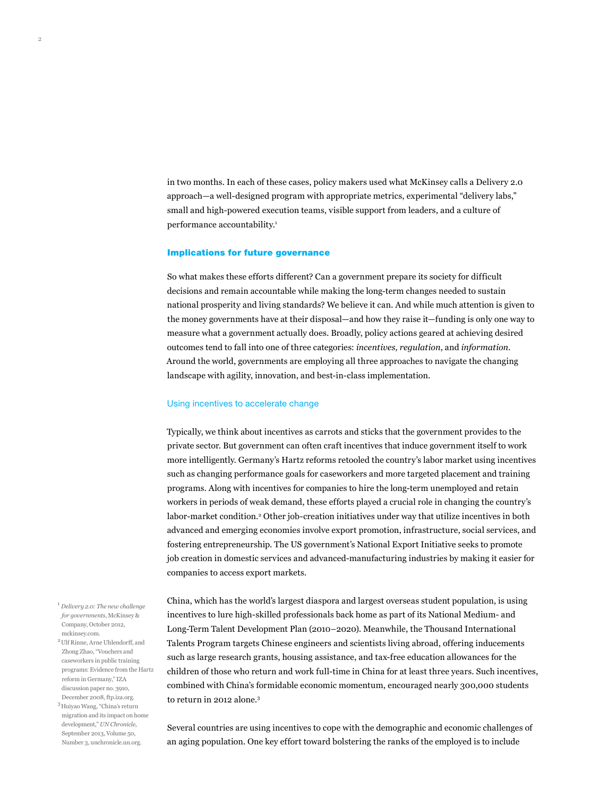in two months. In each of these cases, policy makers used what McKinsey calls a Delivery 2.0 approach—a well-designed program with appropriate metrics, experimental "delivery labs," small and high-powered execution teams, visible support from leaders, and a culture of performance accountability.<sup>1</sup>

#### Implications for future governance

So what makes these efforts different? Can a government prepare its society for difficult decisions and remain accountable while making the long-term changes needed to sustain national prosperity and living standards? We believe it can. And while much attention is given to the money governments have at their disposal—and how they raise it—funding is only one way to measure what a government actually does. Broadly, policy actions geared at achieving desired outcomes tend to fall into one of three categories: *incentives, regulation*, and *information*. Around the world, governments are employing all three approaches to navigate the changing landscape with agility, innovation, and best-in-class implementation.

#### Using incentives to accelerate change

Typically, we think about incentives as carrots and sticks that the government provides to the private sector. But government can often craft incentives that induce government itself to work more intelligently. Germany's Hartz reforms retooled the country's labor market using incentives such as changing performance goals for caseworkers and more targeted placement and training programs. Along with incentives for companies to hire the long-term unemployed and retain workers in periods of weak demand, these efforts played a crucial role in changing the country's labor-market condition.<sup>2</sup> Other job-creation initiatives under way that utilize incentives in both advanced and emerging economies involve export promotion, infrastructure, social services, and fostering entrepreneurship. The US government's National Export Initiative seeks to promote job creation in domestic services and advanced-manufacturing industries by making it easier for companies to access export markets.

<sup>1</sup> *Delivery 2.0: The new challenge for governments*, McKinsey & Company, October 2012, mckinsey.com.

2Ulf Rinne, Arne Uhlendorff, and Zhong Zhao, "Vouchers and caseworkers in public training programs: Evidence from the Hartz reform in Germany," IZA discussion paper no. 3910, December 2008, ftp.iza.org.

3Huiyao Wang, "China's return migration and its impact on home development," *UN Chronicle*, September 2013, Volume 50, Number 3, unchronicle.un.org.

China, which has the world's largest diaspora and largest overseas student population, is using incentives to lure high-skilled professionals back home as part of its National Medium- and Long-Term Talent Development Plan (2010–2020). Meanwhile, the Thousand International Talents Program targets Chinese engineers and scientists living abroad, offering inducements such as large research grants, housing assistance, and tax-free education allowances for the children of those who return and work full-time in China for at least three years. Such incentives, combined with China's formidable economic momentum, encouraged nearly 300,000 students to return in 2012 alone.<sup>3</sup>

Several countries are using incentives to cope with the demographic and economic challenges of an aging population. One key effort toward bolstering the ranks of the employed is to include

2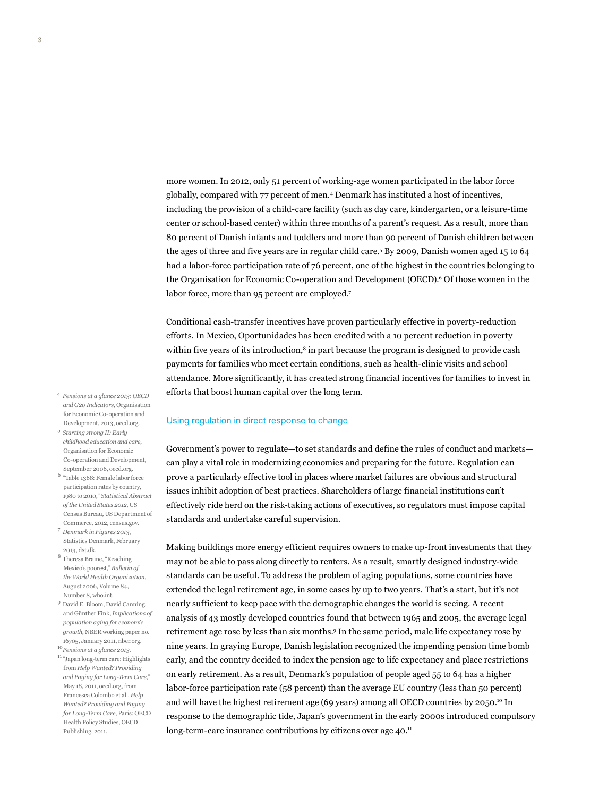more women. In 2012, only 51 percent of working-age women participated in the labor force globally, compared with 77 percent of men.4 Denmark has instituted a host of incentives, including the provision of a child-care facility (such as day care, kindergarten, or a leisure-time center or school-based center) within three months of a parent's request. As a result, more than 80 percent of Danish infants and toddlers and more than 90 percent of Danish children between the ages of three and five years are in regular child care.<sup>5</sup> By 2009, Danish women aged 15 to 64 had a labor-force participation rate of 76 percent, one of the highest in the countries belonging to the Organisation for Economic Co-operation and Development (OECD).<sup>6</sup> Of those women in the labor force, more than 95 percent are employed.<sup>7</sup>

Conditional cash-transfer incentives have proven particularly effective in poverty-reduction efforts. In Mexico, Oportunidades has been credited with a 10 percent reduction in poverty within five years of its introduction, $\frac{8}{3}$  in part because the program is designed to provide cash payments for families who meet certain conditions, such as health-clinic visits and school attendance. More significantly, it has created strong financial incentives for families to invest in efforts that boost human capital over the long term.

### Using regulation in direct response to change

Government's power to regulate—to set standards and define the rules of conduct and markets can play a vital role in modernizing economies and preparing for the future. Regulation can prove a particularly effective tool in places where market failures are obvious and structural issues inhibit adoption of best practices. Shareholders of large financial institutions can't effectively ride herd on the risk-taking actions of executives, so regulators must impose capital standards and undertake careful supervision.

Making buildings more energy efficient requires owners to make up-front investments that they may not be able to pass along directly to renters. As a result, smartly designed industry-wide standards can be useful. To address the problem of aging populations, some countries have extended the legal retirement age, in some cases by up to two years. That's a start, but it's not nearly sufficient to keep pace with the demographic changes the world is seeing. A recent analysis of 43 mostly developed countries found that between 1965 and 2005, the average legal retirement age rose by less than six months.<sup>9</sup> In the same period, male life expectancy rose by nine years. In graying Europe, Danish legislation recognized the impending pension time bomb early, and the country decided to index the pension age to life expectancy and place restrictions on early retirement. As a result, Denmark's population of people aged 55 to 64 has a higher labor-force participation rate (58 percent) than the average EU country (less than 50 percent) and will have the highest retirement age (69 years) among all OECD countries by 2050.<sup>10</sup> In response to the demographic tide, Japan's government in the early 2000s introduced compulsory long-term-care insurance contributions by citizens over age 40.<sup>11</sup>

- <sup>4</sup>*Pensions at a glance 2013: OECD and G20 Indicators*, Organisation for Economic Co-operation and Development, 2013, oecd.org.
- <sup>5</sup> *Starting strong II: Early childhood education and care*, Organisation for Economic Co-operation and Development, September 2006, oecd.org.
- $^6$  "Table 1368: Female labor force participation rates by country, 1980 to 2010," *Statistical Abstract of the United States 2012*, US Census Bureau, US Department of Commerce, 2012, census.gov.
- <sup>7</sup>*Denmark in Figures 2013*, Statistics Denmark, February 2013, dst.dk.
- <sup>8</sup> Theresa Braine, "Reaching Mexico's poorest," *Bulletin of the World Health Organization*, August 2006, Volume 84, Number 8, who.int.
- <sup>9</sup> David E. Bloom, David Canning, and Günther Fink, *Implications of population aging for economic growth*, NBER working paper no. 16705, January 2011, nber.org.
- <sup>10</sup>*Pensions at a glance 2013*.  $^{\rm 11}$  "Japan long-term care: Highlights from *Help Wanted? Providing and Paying for Long-Term Care*," May 18, 2011, oecd.org, from Francesca Colombo et al., *Help Wanted? Providing and Paying for Long-Term Care*, Paris: OECD Health Policy Studies, OECD Publishing, 2011.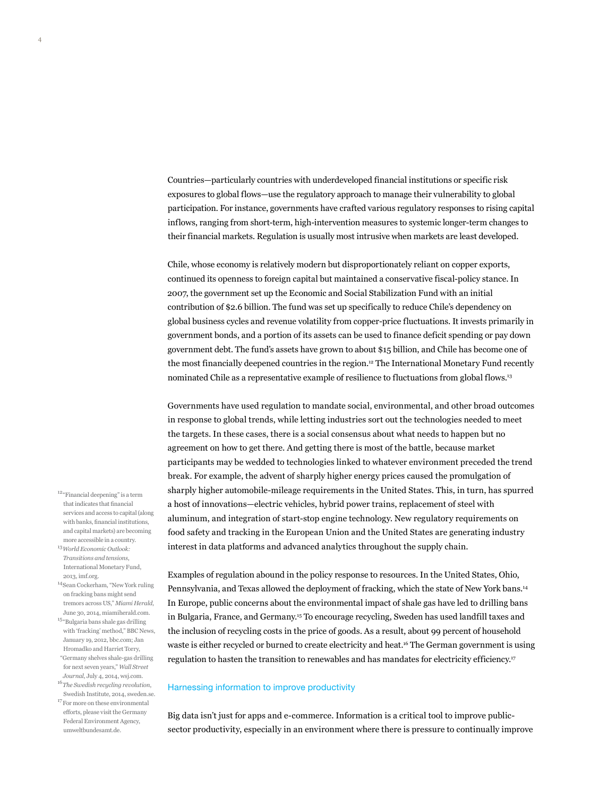Countries—particularly countries with underdeveloped financial institutions or specific risk exposures to global flows—use the regulatory approach to manage their vulnerability to global participation. For instance, governments have crafted various regulatory responses to rising capital inflows, ranging from short-term, high-intervention measures to systemic longer-term changes to their financial markets. Regulation is usually most intrusive when markets are least developed.

Chile, whose economy is relatively modern but disproportionately reliant on copper exports, continued its openness to foreign capital but maintained a conservative fiscal-policy stance. In 2007, the government set up the Economic and Social Stabilization Fund with an initial contribution of \$2.6 billion. The fund was set up specifically to reduce Chile's dependency on global business cycles and revenue volatility from copper-price fluctuations. It invests primarily in government bonds, and a portion of its assets can be used to finance deficit spending or pay down government debt. The fund's assets have grown to about \$15 billion, and Chile has become one of the most financially deepened countries in the region.<sup>12</sup> The International Monetary Fund recently nominated Chile as a representative example of resilience to fluctuations from global flows.<sup>13</sup>

Governments have used regulation to mandate social, environmental, and other broad outcomes in response to global trends, while letting industries sort out the technologies needed to meet the targets. In these cases, there is a social consensus about what needs to happen but no agreement on how to get there. And getting there is most of the battle, because market participants may be wedded to technologies linked to whatever environment preceded the trend break. For example, the advent of sharply higher energy prices caused the promulgation of sharply higher automobile-mileage requirements in the United States. This, in turn, has spurred a host of innovations—electric vehicles, hybrid power trains, replacement of steel with aluminum, and integration of start-stop engine technology. New regulatory requirements on food safety and tracking in the European Union and the United States are generating industry interest in data platforms and advanced analytics throughout the supply chain.

Examples of regulation abound in the policy response to resources. In the United States, Ohio, Pennsylvania, and Texas allowed the deployment of fracking, which the state of New York bans.14 In Europe, public concerns about the environmental impact of shale gas have led to drilling bans in Bulgaria, France, and Germany.15 To encourage recycling, Sweden has used landfill taxes and the inclusion of recycling costs in the price of goods. As a result, about 99 percent of household waste is either recycled or burned to create electricity and heat.<sup>16</sup> The German government is using regulation to hasten the transition to renewables and has mandates for electricity efficiency.<sup>17</sup>

#### Harnessing information to improve productivity

Big data isn't just for apps and e-commerce. Information is a critical tool to improve publicsector productivity, especially in an environment where there is pressure to continually improve

- $^{12\,a}{\rm Fin }$  and deepening" is a term that indicates that financial services and access to capital (along with banks, financial institutions, and capital markets) are becoming more accessible in a country.
- <sup>13</sup>*World Economic Outlook: Transitions and tensions*, International Monetary Fund, 2013, imf.org.
- 14Sean Cockerham, "New York ruling on fracking bans might send tremors across US," *Miami Herald*, June 30, 2014, miamiherald.com.
- <sup>15</sup>"Bulgaria bans shale gas drilling with 'fracking' method," BBC News, January 19, 2012, bbc.com; Jan Hromadko and Harriet Torry, "Germany shelves shale-gas drilling for next seven years," *Wall Street Journal*, July 4, 2014, wsj.com.
- <sup>16</sup>*The Swedish recycling revolution*, Swedish Institute, 2014, sweden.se.
- $\rm ^{17}$  For more on these environmental efforts, please visit the Germany Federal Environment Agency, umweltbundesamt.de.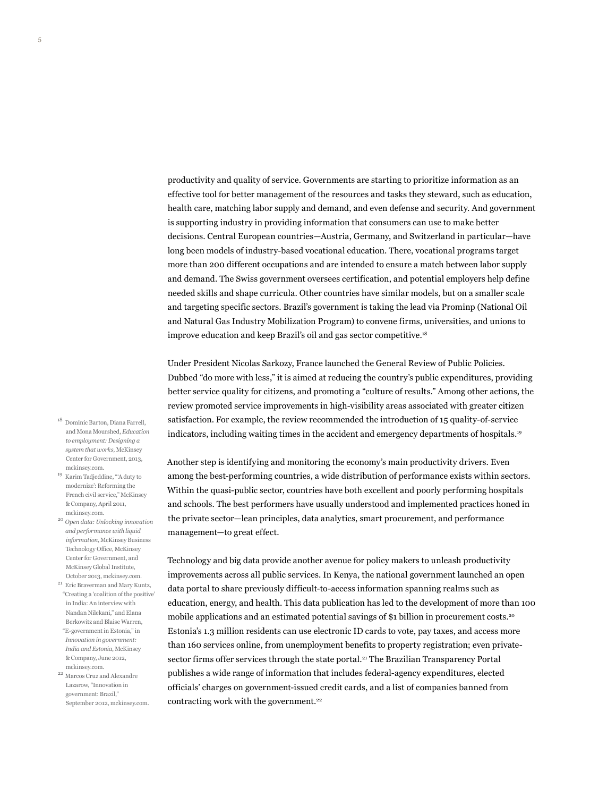productivity and quality of service. Governments are starting to prioritize information as an effective tool for better management of the resources and tasks they steward, such as education, health care, matching labor supply and demand, and even defense and security. And government is supporting industry in providing information that consumers can use to make better decisions. Central European countries—Austria, Germany, and Switzerland in particular—have long been models of industry-based vocational education. There, vocational programs target more than 200 different occupations and are intended to ensure a match between labor supply and demand. The Swiss government oversees certification, and potential employers help define needed skills and shape curricula. Other countries have similar models, but on a smaller scale and targeting specific sectors. Brazil's government is taking the lead via Prominp (National Oil and Natural Gas Industry Mobilization Program) to convene firms, universities, and unions to improve education and keep Brazil's oil and gas sector competitive.18

Under President Nicolas Sarkozy, France launched the General Review of Public Policies. Dubbed "do more with less," it is aimed at reducing the country's public expenditures, providing better service quality for citizens, and promoting a "culture of results." Among other actions, the review promoted service improvements in high-visibility areas associated with greater citizen satisfaction. For example, the review recommended the introduction of 15 quality-of-service indicators, including waiting times in the accident and emergency departments of hospitals.<sup>19</sup>

Another step is identifying and monitoring the economy's main productivity drivers. Even among the best-performing countries, a wide distribution of performance exists within sectors. Within the quasi-public sector, countries have both excellent and poorly performing hospitals and schools. The best performers have usually understood and implemented practices honed in the private sector—lean principles, data analytics, smart procurement, and performance management—to great effect.

Technology and big data provide another avenue for policy makers to unleash productivity improvements across all public services. In Kenya, the national government launched an open data portal to share previously difficult-to-access information spanning realms such as education, energy, and health. This data publication has led to the development of more than 100 mobile applications and an estimated potential savings of \$1 billion in procurement costs.<sup>20</sup> Estonia's 1.3 million residents can use electronic ID cards to vote, pay taxes, and access more than 160 services online, from unemployment benefits to property registration; even privatesector firms offer services through the state portal.<sup>21</sup> The Brazilian Transparency Portal publishes a wide range of information that includes federal-agency expenditures, elected officials' charges on government-issued credit cards, and a list of companies banned from contracting work with the government.<sup>22</sup>

- <sup>18</sup> Dominic Barton, Diana Farrell, and Mona Mourshed, *Education to employment: Designing a system that works*, McKinsey Center for Government, 2013, mckinsey.com.
- <sup>19</sup> Karim Tadjeddine, "'A duty to modernize': Reforming the French civil service," McKinsey & Company, April 2011, mckinsey.com.
- <sup>20</sup> *Open data: Unlocking innovation and performance with liquid information*, McKinsey Business Technology Office, McKinsey Center for Government, and McKinsey Global Institute, October 2013, mckinsey.com.
- $\mathrm{^{21}}$ Eric Braverman and Mary Kuntz, "Creating a 'coalition of the positive' in India: An interview with Nandan Nilekani," and Elana Berkowitz and Blaise Warren, "E-government in Estonia," in *Innovation in government: India and Estonia*, McKinsey & Company, June 2012, mckinsey.com.
- $^\mathrm{22}$  Marcos Cruz and Alexandre Lazarow, "Innovation in government: Brazil," September 2012, mckinsey.com.